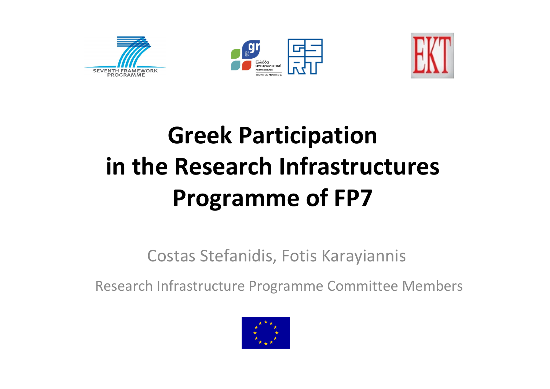





## **Greek Participation in the Research Infrastructures Programme of FP7**

#### Costas Stefanidis, Fotis Karayiannis

Research Infrastructure Programme Committee Members

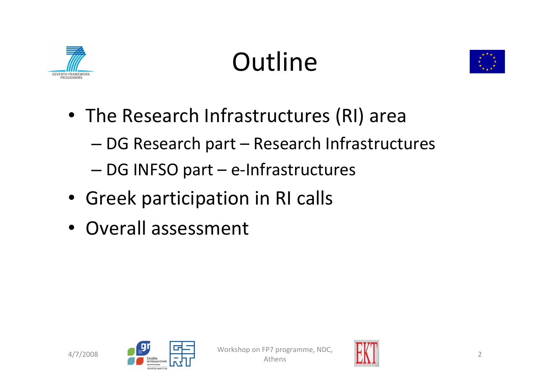

# **Outline**



- The Research Infrastructures (RI) area
	- DG Research part Research Infrastructures
	- DG INFSO part <sup>e</sup>‐Infrastructures
- Greek participation in RI calls
- Overall assessment



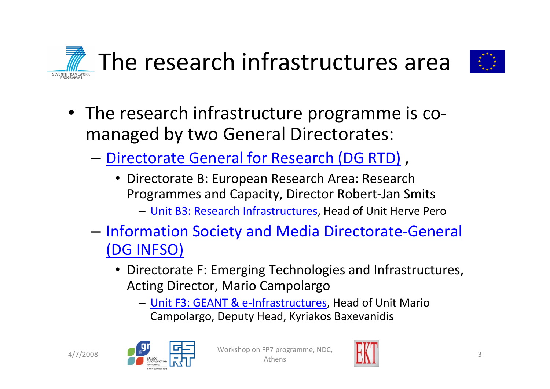



- The research infrastructure programme is comanaged by two General Directorates:
	- **[Directorate](http://ec.europa.eu/dgs/research/pdf/organisation_en.pdf) General for Research (DG RTD)**,
		- • Directorate B: European Research Area: Research Programmes and Capacity, Director Robert‐Jan Smits
			- Unit B3: Research [Infrastructures](http://cordis.europa.eu/fp7/capacities/research-infrastructures_en.html), Head of Unit Herve Pero
	- –**- [Information](http://ec.europa.eu/dgs/information_society/directory/pdf/organi_en.pdf) Society and Media Directorate-General** (DG [INFSO\)](http://ec.europa.eu/dgs/information_society/directory/pdf/organi_en.pdf)
		- Directorate F: Emerging Technologies and Infrastructures, Acting Director, Mario Campolargo
			- Unit F3: GEANT & <sup>e</sup>‐[Infrastructures,](http://cordis.europa.eu/fp7/ict/e-infrastructure/) Head of Unit Mario Campolargo, Deputy Head, Kyriakos Baxevanidis



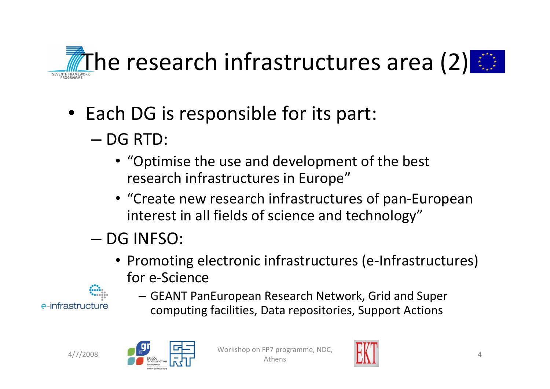

- Each DG is responsible for its part:
	- DG RTD:
		- "Optimise the use and development of the best research infrastructures in Europe"
		- "Create new research infrastructures of pan‐European interest in all fields of science and technology"
	- DG INFSO:
		- Promoting electronic infrastructures (e‐Infrastructures) for e‐Science
- e-infrastructure
- GEANT PanEuropean Research Network, Grid and Super computing facilities, Data repositories, Support Actions





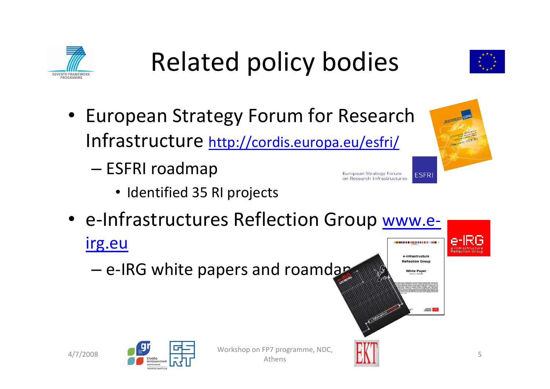

# Related policy bodies

- European Strategy Forum for Research Infrastructure <http://cordis.europa.eu/esfri/>
	- – ESFRI roadmap
		- Identified 35 RI projects
- e-Infrastructures Reflection Group [www.e](http://www.e-irg.eu/)[irg.eu](http://www.e-irg.eu/) **CONTRACTOR DE LA PRODUCTION DE** e-Infrastructure
	- e-IRG white papers and roamdaps





**European Strategy Forum** 

on Research Infrastructures

**Reflection Group White Pape** 

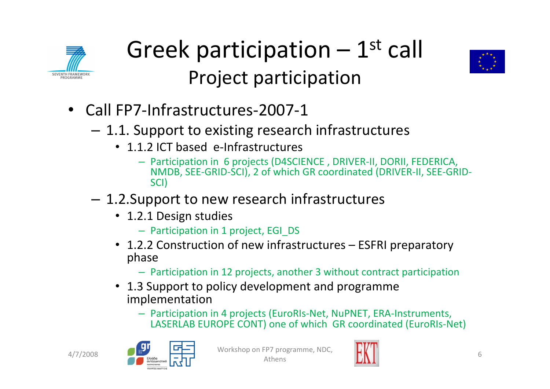





- Call FP7‐Infrastructures‐2007‐1
	- – $-$  1.1. Support to existing research infrastructures
		- 1.1.2 ICT based e-Infrastructures
			- Participation in 6 projects (D4SCIENCE , DRIVER‐II, DORII, FEDERICA, NMDB, SEE‐GRID‐SCI), 2 of which GR coordinated (DRIVER‐II, SEE‐GRID‐ SCI)
	- – $-$  1.2.Support to new research infrastructures
		- 1.2.1 Design studies
			- Participation in 1 project, EGI\_DS
		- 1.2.2 Construction of new infrastructures ESFRI preparatory phase
			- Participation in 12 projects, another 3 without contract participation
		- 1.3 Support to policy development and programme implementation
			- Participation in 4 projects (EuroRIs‐Net, NuPNET, ERA‐Instruments, LASERLAB EUROPE CONT) one of which GR coordinated (EuroRIs‐Net)



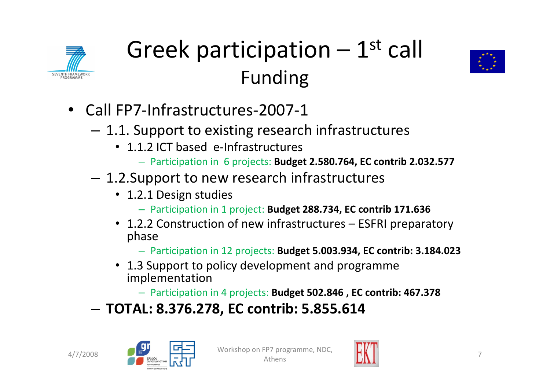

### Greek participation  $-1^\text{st}$  call Funding



- Call FP7‐Infrastructures‐2007‐1
	- – $-$  1.1. Support to existing research infrastructures
		- 1.1.2 ICT based e-Infrastructures
			- Participation in 6 projects: **Budget 2.580.764, EC contrib 2.032.577**
	- – 1.2.Support to new research infrastructures
		- 1.2.1 Design studies
			- Participation in 1 project: **Budget 288.734, EC contrib 171.636**
		- 1.2.2 Construction of new infrastructures ESFRI preparatory phase
			- Participation in 12 projects: **Budget 5.003.934, EC contrib: 3.184.023**
		- 1.3 Support to policy development and programme implementation
			- Participation in 4 projects: **Budget 502.846 , EC contrib: 467.378**
	- –**TOTAL: 8.376.278, EC contrib: 5.855.614**





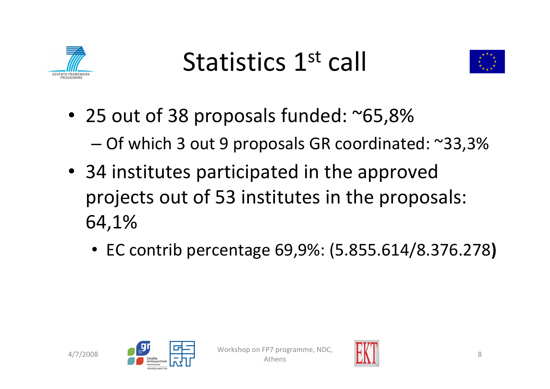

# Statistics 1st call



- 25 out of 38 proposals funded: ~65,8% –Of which 3 out 9 proposals GR coordinated: ~33,3%
- 34 institutes participated in the approved projects out of 53 institutes in the proposals: 64,1%
	- EC contrib percentage 69,9%: (5.855.614/8.376.278**)**





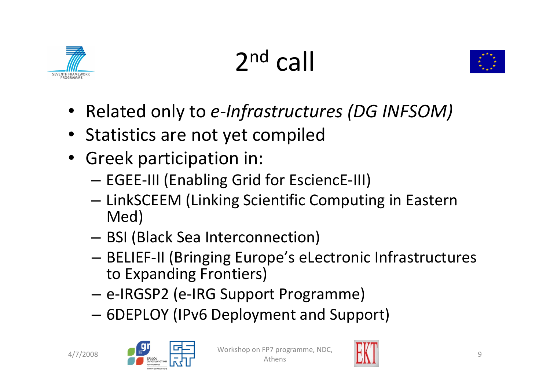





- Related only to *<sup>e</sup>‐Infrastructures (DG INFSOM)*
- Statistics are not yet compiled
- Greek participation in:
	- –EGEE‐III (Enabling Grid for EsciencE‐III)
	- LinkSCEEM (Linking Scientific Computing in Eastern Med)
	- BSI (Black Sea Interconnection)
	- BELIEF‐II (Bringing Europe's eLectronic Infrastructures to Expanding Frontiers)
	- <sup>e</sup>‐IRGSP2 (e‐IRG Support Programme)
	- –6DEPLOY (IPv6 Deployment and Support)



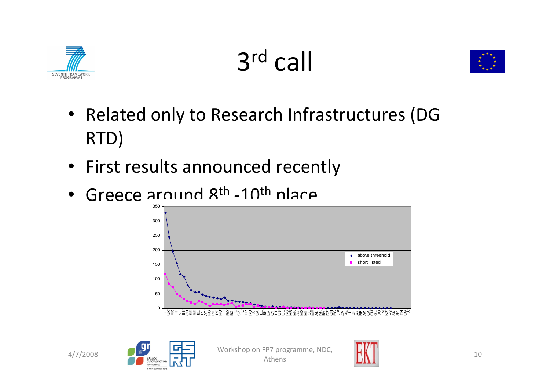

3r<sup>d</sup> call



- Related only to Research Infrastructures (DG RTD)
- First results announced recently
- Greece around 8<sup>th</sup> -10<sup>th</sup> place





 $4/7/2008$   $\begin{array}{|c|c|c|c|c|}\n\hline\n & \text{Workshop on FP7 programme, NDC,} \\
\hline\n & \text{Mihens}\n\end{array}$  $\sum_{s}$  10

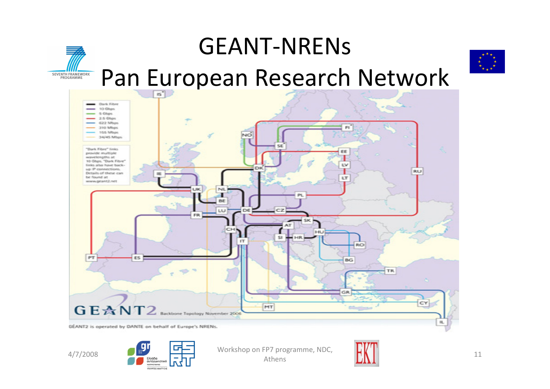

GÉANT2 is operated by DANTE on behalf of Europe's NRENs.





 $4/7/2008$   $\begin{array}{|c|c|c|c|c|}\n\hline\n4/7/2008\n\end{array}$  Workshop on FP7 programme, NDC,  $\sum_{s}$  11



 $\mathbf{H}_{\mathrm{in}}$